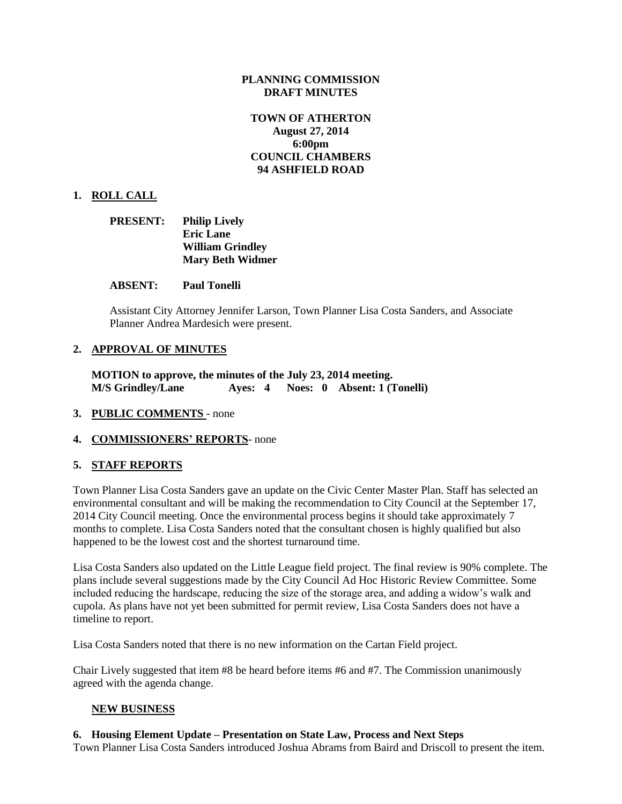## **PLANNING COMMISSION DRAFT MINUTES**

# **TOWN OF ATHERTON August 27, 2014 6:00pm COUNCIL CHAMBERS 94 ASHFIELD ROAD**

## **1. ROLL CALL**

| <b>PRESENT:</b> | <b>Philip Lively</b>    |  |
|-----------------|-------------------------|--|
|                 | <b>Eric Lane</b>        |  |
|                 | <b>William Grindley</b> |  |
|                 | <b>Mary Beth Widmer</b> |  |

#### **ABSENT: Paul Tonelli**

Assistant City Attorney Jennifer Larson, Town Planner Lisa Costa Sanders, and Associate Planner Andrea Mardesich were present.

#### **2. APPROVAL OF MINUTES**

**MOTION to approve, the minutes of the July 23, 2014 meeting. M/S Grindley/Lane Ayes: 4 Noes: 0 Absent: 1 (Tonelli)**

- **3. PUBLIC COMMENTS** none
- **4. COMMISSIONERS' REPORTS** none

## **5. STAFF REPORTS**

Town Planner Lisa Costa Sanders gave an update on the Civic Center Master Plan. Staff has selected an environmental consultant and will be making the recommendation to City Council at the September 17, 2014 City Council meeting. Once the environmental process begins it should take approximately 7 months to complete. Lisa Costa Sanders noted that the consultant chosen is highly qualified but also happened to be the lowest cost and the shortest turnaround time.

Lisa Costa Sanders also updated on the Little League field project. The final review is 90% complete. The plans include several suggestions made by the City Council Ad Hoc Historic Review Committee. Some included reducing the hardscape, reducing the size of the storage area, and adding a widow's walk and cupola. As plans have not yet been submitted for permit review, Lisa Costa Sanders does not have a timeline to report.

Lisa Costa Sanders noted that there is no new information on the Cartan Field project.

Chair Lively suggested that item #8 be heard before items #6 and #7. The Commission unanimously agreed with the agenda change.

## **NEW BUSINESS**

## **6. Housing Element Update – Presentation on State Law, Process and Next Steps**

Town Planner Lisa Costa Sanders introduced Joshua Abrams from Baird and Driscoll to present the item.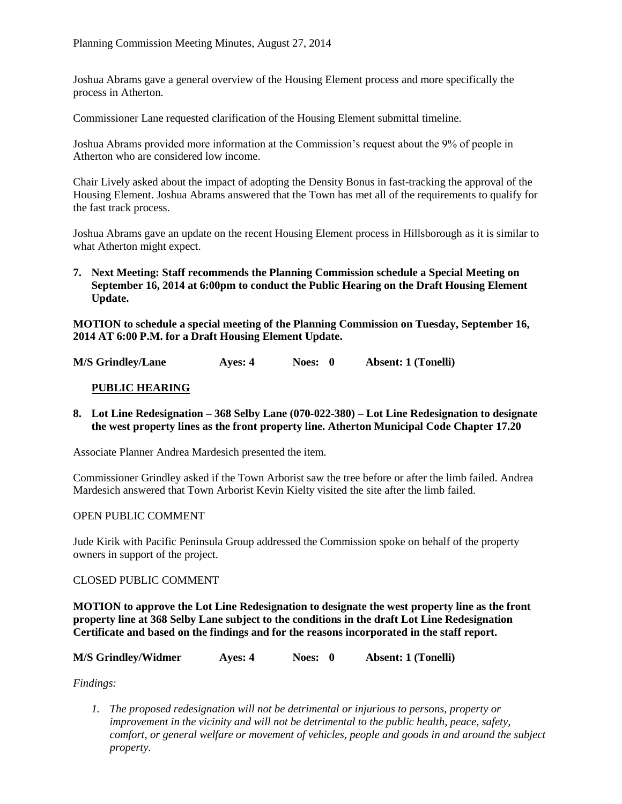Joshua Abrams gave a general overview of the Housing Element process and more specifically the process in Atherton.

Commissioner Lane requested clarification of the Housing Element submittal timeline.

Joshua Abrams provided more information at the Commission's request about the 9% of people in Atherton who are considered low income.

Chair Lively asked about the impact of adopting the Density Bonus in fast-tracking the approval of the Housing Element. Joshua Abrams answered that the Town has met all of the requirements to qualify for the fast track process.

Joshua Abrams gave an update on the recent Housing Element process in Hillsborough as it is similar to what Atherton might expect.

**7. Next Meeting: Staff recommends the Planning Commission schedule a Special Meeting on September 16, 2014 at 6:00pm to conduct the Public Hearing on the Draft Housing Element Update.**

**MOTION to schedule a special meeting of the Planning Commission on Tuesday, September 16, 2014 AT 6:00 P.M. for a Draft Housing Element Update.**

**M/S Grindley/Lane Ayes: 4 Noes: 0 Absent: 1 (Tonelli)**

# **PUBLIC HEARING**

**8. Lot Line Redesignation – 368 Selby Lane (070-022-380) – Lot Line Redesignation to designate the west property lines as the front property line. Atherton Municipal Code Chapter 17.20**

Associate Planner Andrea Mardesich presented the item.

Commissioner Grindley asked if the Town Arborist saw the tree before or after the limb failed. Andrea Mardesich answered that Town Arborist Kevin Kielty visited the site after the limb failed.

## OPEN PUBLIC COMMENT

Jude Kirik with Pacific Peninsula Group addressed the Commission spoke on behalf of the property owners in support of the project.

## CLOSED PUBLIC COMMENT

**MOTION to approve the Lot Line Redesignation to designate the west property line as the front property line at 368 Selby Lane subject to the conditions in the draft Lot Line Redesignation Certificate and based on the findings and for the reasons incorporated in the staff report.**

| <b>M/S Grindley/Widmer</b> | Ayes: 4 | Noes: 0 | <b>Absent: 1 (Tonelli)</b> |
|----------------------------|---------|---------|----------------------------|
|----------------------------|---------|---------|----------------------------|

*Findings:*

*1. The proposed redesignation will not be detrimental or injurious to persons, property or improvement in the vicinity and will not be detrimental to the public health, peace, safety, comfort, or general welfare or movement of vehicles, people and goods in and around the subject property.*